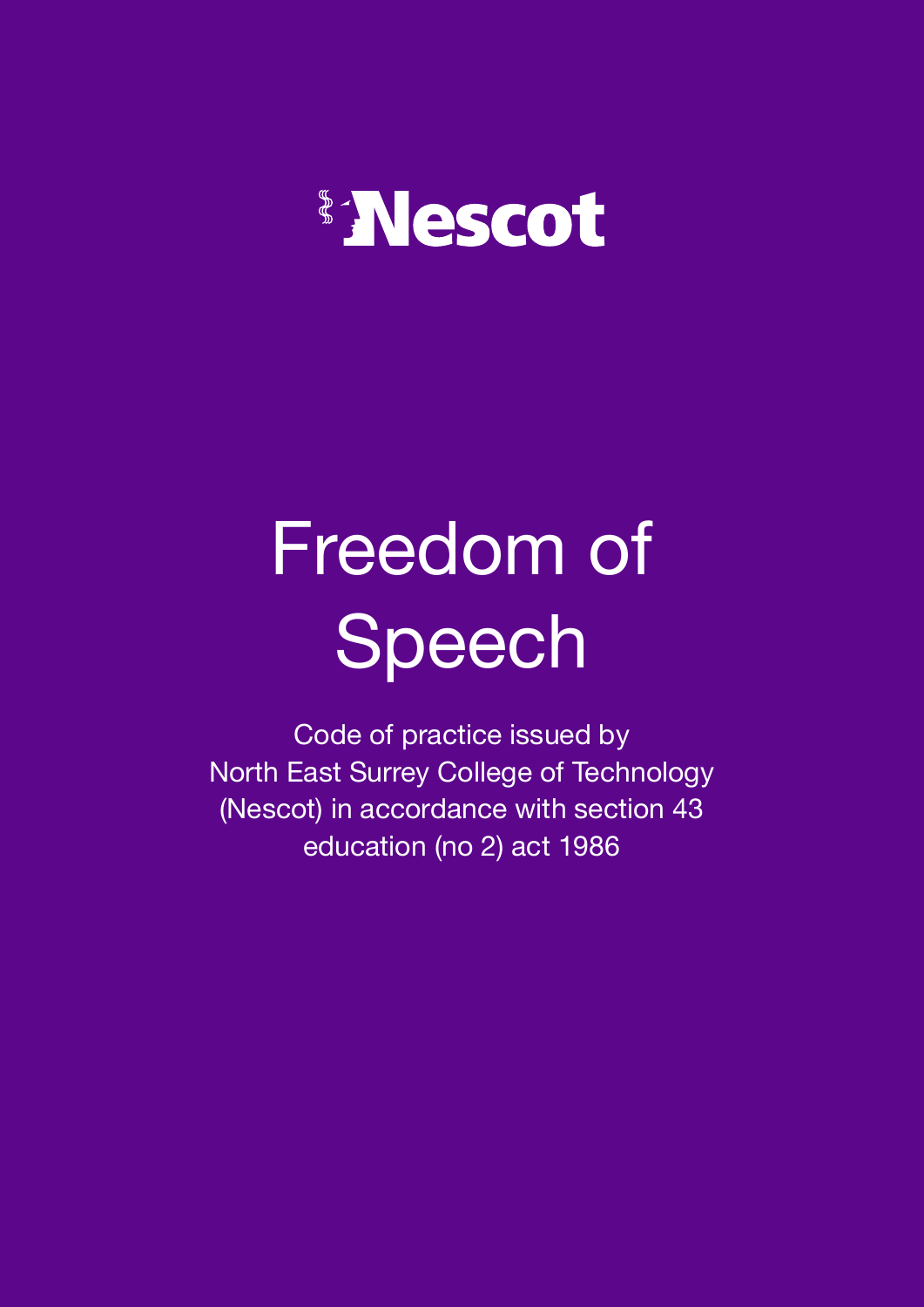## Nescot

# Freedom of Speech

Code of practice issued by North East Surrey College of Technology (Nescot) in accordance with section 43 education (no 2) act 1986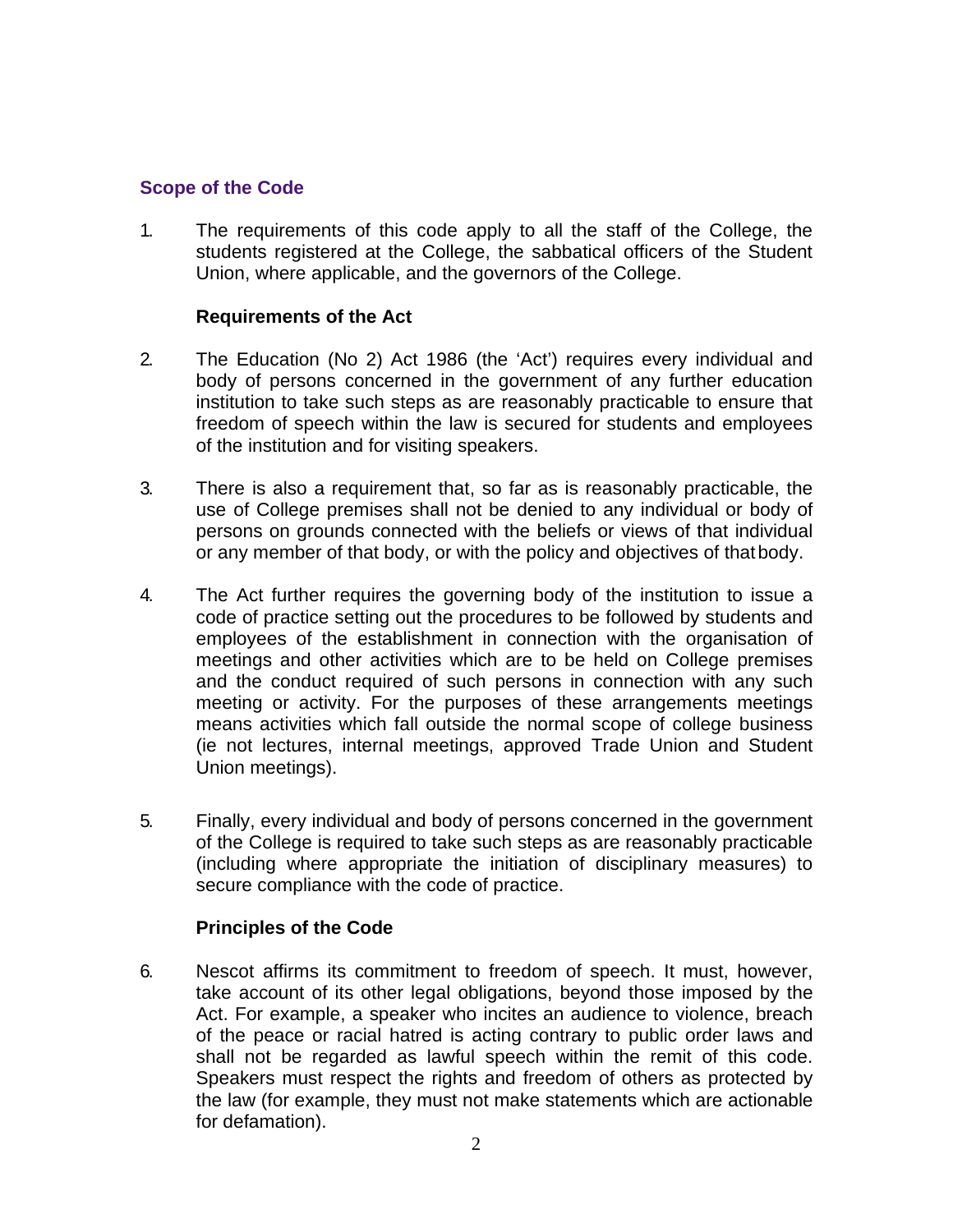#### **Scope of the Code**

1. The requirements of this code apply to all the staff of the College, the students registered at the College, the sabbatical officers of the Student Union, where applicable, and the governors of the College.

#### **Requirements of the Act**

- 2. The Education (No 2) Act 1986 (the 'Act') requires every individual and body of persons concerned in the government of any further education institution to take such steps as are reasonably practicable to ensure that freedom of speech within the law is secured for students and employees of the institution and for visiting speakers.
- 3. There is also a requirement that, so far as is reasonably practicable, the use of College premises shall not be denied to any individual or body of persons on grounds connected with the beliefs or views of that individual or any member of that body, or with the policy and objectives of thatbody.
- 4. The Act further requires the governing body of the institution to issue a code of practice setting out the procedures to be followed by students and employees of the establishment in connection with the organisation of meetings and other activities which are to be held on College premises and the conduct required of such persons in connection with any such meeting or activity. For the purposes of these arrangements meetings means activities which fall outside the normal scope of college business (ie not lectures, internal meetings, approved Trade Union and Student Union meetings).
- 5. Finally, every individual and body of persons concerned in the government of the College is required to take such steps as are reasonably practicable (including where appropriate the initiation of disciplinary measures) to secure compliance with the code of practice.

#### **Principles of the Code**

6. Nescot affirms its commitment to freedom of speech. It must, however, take account of its other legal obligations, beyond those imposed by the Act. For example, a speaker who incites an audience to violence, breach of the peace or racial hatred is acting contrary to public order laws and shall not be regarded as lawful speech within the remit of this code. Speakers must respect the rights and freedom of others as protected by the law (for example, they must not make statements which are actionable for defamation).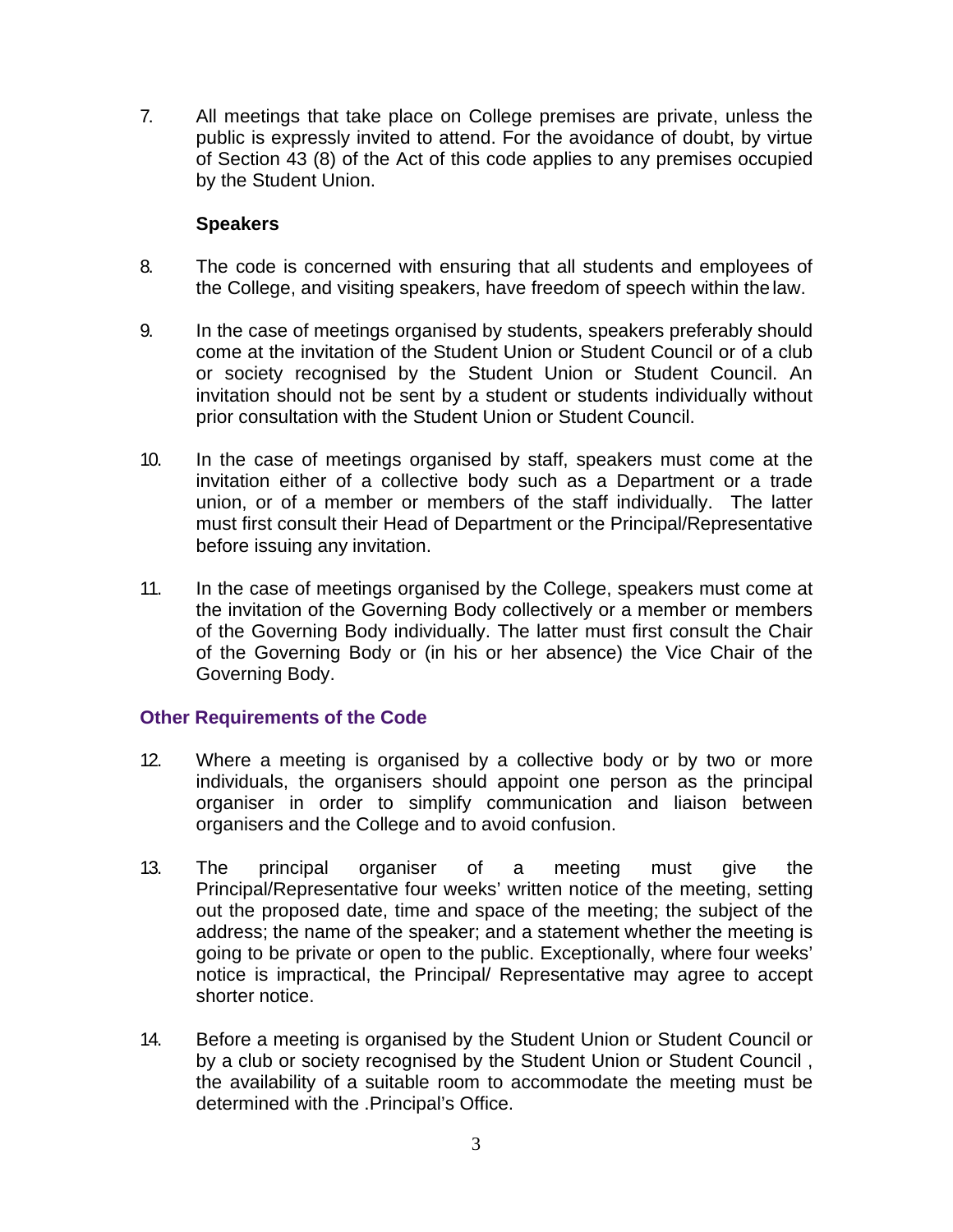7. All meetings that take place on College premises are private, unless the public is expressly invited to attend. For the avoidance of doubt, by virtue of Section 43 (8) of the Act of this code applies to any premises occupied by the Student Union.

#### **Speakers**

- 8. The code is concerned with ensuring that all students and employees of the College, and visiting speakers, have freedom of speech within the law.
- 9. In the case of meetings organised by students, speakers preferably should come at the invitation of the Student Union or Student Council or of a club or society recognised by the Student Union or Student Council. An invitation should not be sent by a student or students individually without prior consultation with the Student Union or Student Council.
- 10. In the case of meetings organised by staff, speakers must come at the invitation either of a collective body such as a Department or a trade union, or of a member or members of the staff individually. The latter must first consult their Head of Department or the Principal/Representative before issuing any invitation.
- 11. In the case of meetings organised by the College, speakers must come at the invitation of the Governing Body collectively or a member or members of the Governing Body individually. The latter must first consult the Chair of the Governing Body or (in his or her absence) the Vice Chair of the Governing Body.

#### **Other Requirements of the Code**

- 12. Where a meeting is organised by a collective body or by two or more individuals, the organisers should appoint one person as the principal organiser in order to simplify communication and liaison between organisers and the College and to avoid confusion.
- 13. The principal organiser of a meeting must give the Principal/Representative four weeks' written notice of the meeting, setting out the proposed date, time and space of the meeting; the subject of the address; the name of the speaker; and a statement whether the meeting is going to be private or open to the public. Exceptionally, where four weeks' notice is impractical, the Principal/ Representative may agree to accept shorter notice.
- 14. Before a meeting is organised by the Student Union or Student Council or by a club or society recognised by the Student Union or Student Council , the availability of a suitable room to accommodate the meeting must be determined with the .Principal's Office.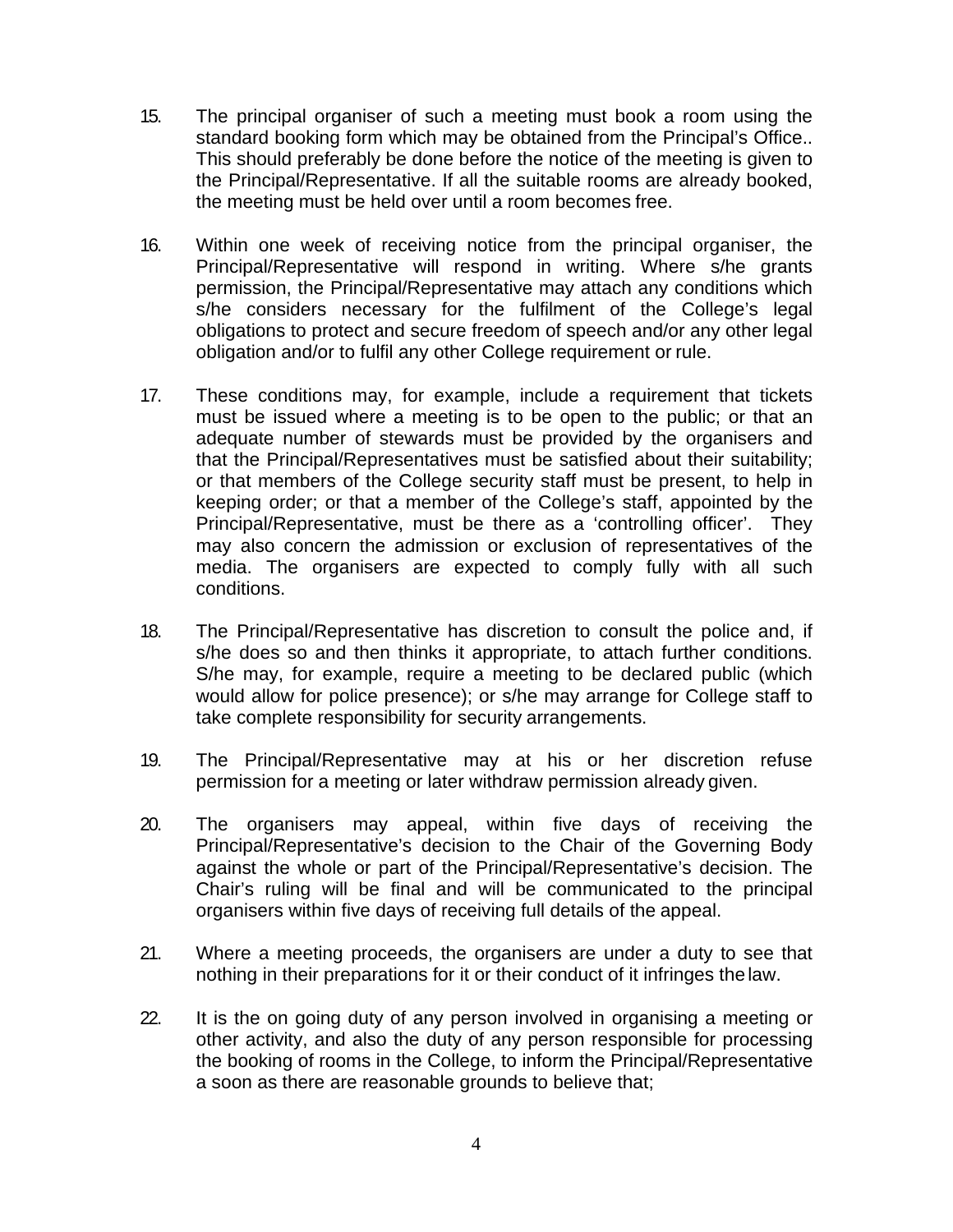- 15. The principal organiser of such a meeting must book a room using the standard booking form which may be obtained from the Principal's Office.. This should preferably be done before the notice of the meeting is given to the Principal/Representative. If all the suitable rooms are already booked, the meeting must be held over until a room becomes free.
- 16. Within one week of receiving notice from the principal organiser, the Principal/Representative will respond in writing. Where s/he grants permission, the Principal/Representative may attach any conditions which s/he considers necessary for the fulfilment of the College's legal obligations to protect and secure freedom of speech and/or any other legal obligation and/or to fulfil any other College requirement or rule.
- 17. These conditions may, for example, include a requirement that tickets must be issued where a meeting is to be open to the public; or that an adequate number of stewards must be provided by the organisers and that the Principal/Representatives must be satisfied about their suitability; or that members of the College security staff must be present, to help in keeping order; or that a member of the College's staff, appointed by the Principal/Representative, must be there as a 'controlling officer'. They may also concern the admission or exclusion of representatives of the media. The organisers are expected to comply fully with all such conditions.
- 18. The Principal/Representative has discretion to consult the police and, if s/he does so and then thinks it appropriate, to attach further conditions. S/he may, for example, require a meeting to be declared public (which would allow for police presence); or s/he may arrange for College staff to take complete responsibility for security arrangements.
- 19. The Principal/Representative may at his or her discretion refuse permission for a meeting or later withdraw permission already given.
- 20. The organisers may appeal, within five days of receiving the Principal/Representative's decision to the Chair of the Governing Body against the whole or part of the Principal/Representative's decision. The Chair's ruling will be final and will be communicated to the principal organisers within five days of receiving full details of the appeal.
- 21. Where a meeting proceeds, the organisers are under a duty to see that nothing in their preparations for it or their conduct of it infringes the law.
- 22. It is the on going duty of any person involved in organising a meeting or other activity, and also the duty of any person responsible for processing the booking of rooms in the College, to inform the Principal/Representative a soon as there are reasonable grounds to believe that;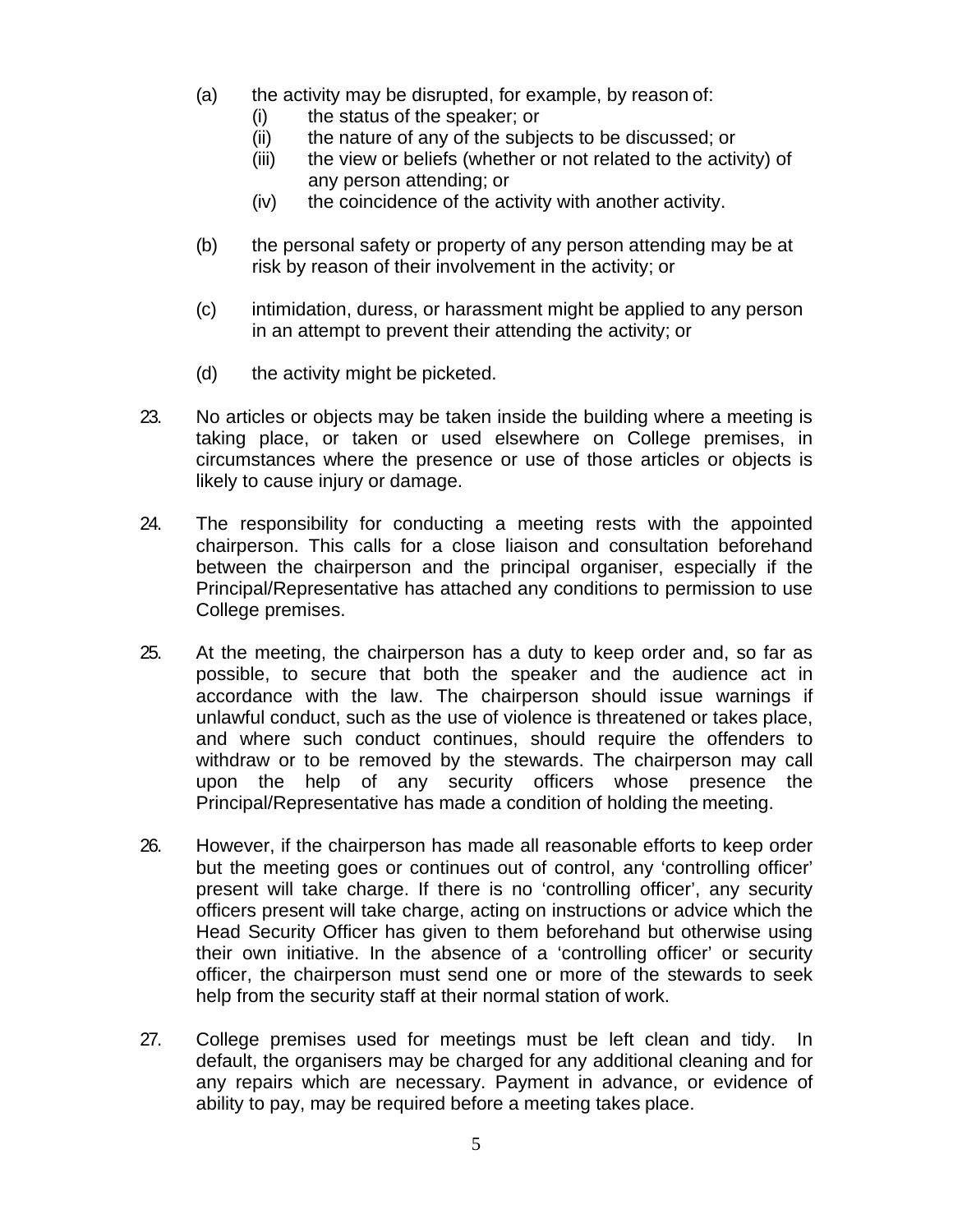- (a) the activity may be disrupted, for example, by reason of:
	- (i) the status of the speaker; or
	- (ii) the nature of any of the subjects to be discussed; or
	- (iii) the view or beliefs (whether or not related to the activity) of any person attending; or
	- (iv) the coincidence of the activity with another activity.
- (b) the personal safety or property of any person attending may be at risk by reason of their involvement in the activity; or
- (c) intimidation, duress, or harassment might be applied to any person in an attempt to prevent their attending the activity; or
- (d) the activity might be picketed.
- 23. No articles or objects may be taken inside the building where a meeting is taking place, or taken or used elsewhere on College premises, in circumstances where the presence or use of those articles or objects is likely to cause injury or damage.
- 24. The responsibility for conducting a meeting rests with the appointed chairperson. This calls for a close liaison and consultation beforehand between the chairperson and the principal organiser, especially if the Principal/Representative has attached any conditions to permission to use College premises.
- 25. At the meeting, the chairperson has a duty to keep order and, so far as possible, to secure that both the speaker and the audience act in accordance with the law. The chairperson should issue warnings if unlawful conduct, such as the use of violence is threatened or takes place, and where such conduct continues, should require the offenders to withdraw or to be removed by the stewards. The chairperson may call upon the help of any security officers whose presence the Principal/Representative has made a condition of holding the meeting.
- 26. However, if the chairperson has made all reasonable efforts to keep order but the meeting goes or continues out of control, any 'controlling officer' present will take charge. If there is no 'controlling officer', any security officers present will take charge, acting on instructions or advice which the Head Security Officer has given to them beforehand but otherwise using their own initiative. In the absence of a 'controlling officer' or security officer, the chairperson must send one or more of the stewards to seek help from the security staff at their normal station of work.
- 27. College premises used for meetings must be left clean and tidy. In default, the organisers may be charged for any additional cleaning and for any repairs which are necessary. Payment in advance, or evidence of ability to pay, may be required before a meeting takes place.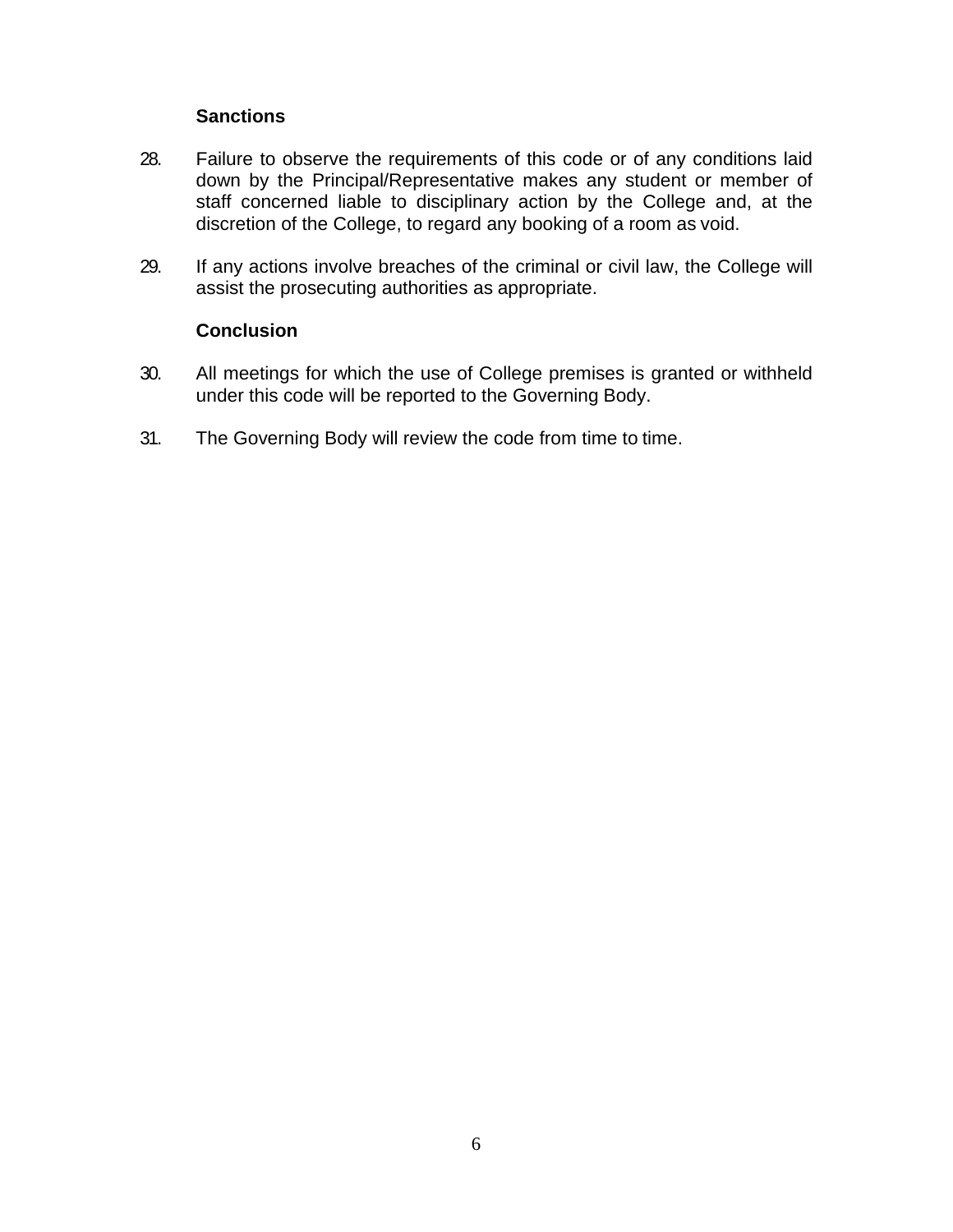#### **Sanctions**

- 28. Failure to observe the requirements of this code or of any conditions laid down by the Principal/Representative makes any student or member of staff concerned liable to disciplinary action by the College and, at the discretion of the College, to regard any booking of a room as void.
- 29. If any actions involve breaches of the criminal or civil law, the College will assist the prosecuting authorities as appropriate.

#### **Conclusion**

- 30. All meetings for which the use of College premises is granted or withheld under this code will be reported to the Governing Body.
- 31. The Governing Body will review the code from time to time.